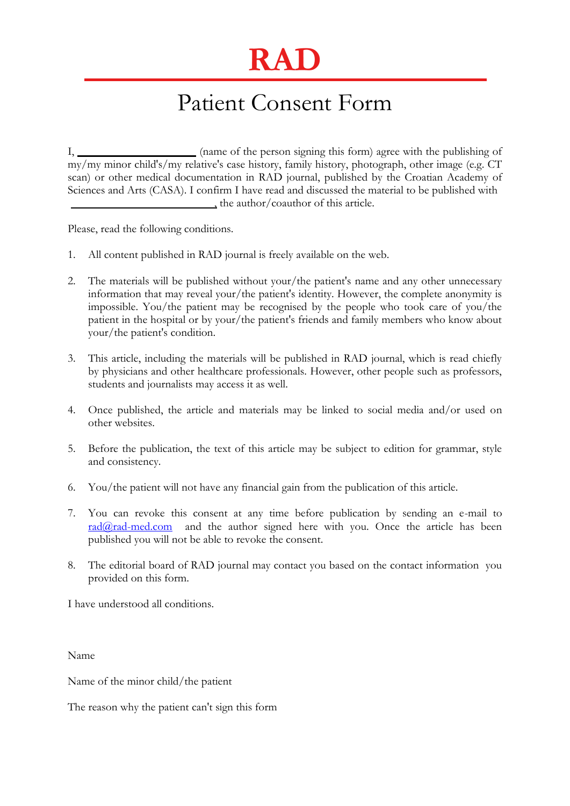## **RAD**

## Patient Consent Form

I, (name of the person signing this form) agree with the publishing of my/my minor child's/my relative's case history, family history, photograph, other image (e.g. CT scan) or other medical documentation in RAD journal, published by the Croatian Academy of Sciences and Arts (CASA). I confirm I have read and discussed the material to be published with the author/coauthor of this article.

Please, read the following conditions.

- 1. All content published in RAD journal is freely available on the web.
- 2. The materials will be published without your/the patient's name and any other unnecessary information that may reveal your/the patient's identity. However, the complete anonymity is impossible. You/the patient may be recognised by the people who took care of you/the patient in the hospital or by your/the patient's friends and family members who know about your/the patient's condition.
- 3. This article, including the materials will be published in RAD journal, which is read chiefly by physicians and other healthcare professionals. However, other people such as professors, students and journalists may access it as well.
- 4. Once published, the article and materials may be linked to social media and/or used on other websites.
- 5. Before the publication, the text of this article may be subject to edition for grammar, style and consistency.
- 6. You/the patient will not have any financial gain from the publication of this article.
- 7. You can revoke this consent at any time before publication by sending an e-mail to  $rad(\theta)$  rad $\theta$  rad com and the author signed here with you. Once the article has been published you will not be able to revoke the consent.
- 8. The editorial board of RAD journal may contact you based on the contact information you provided on this form.

I have understood all conditions.

Name

Name of the minor child/the patient

The reason why the patient can't sign this form